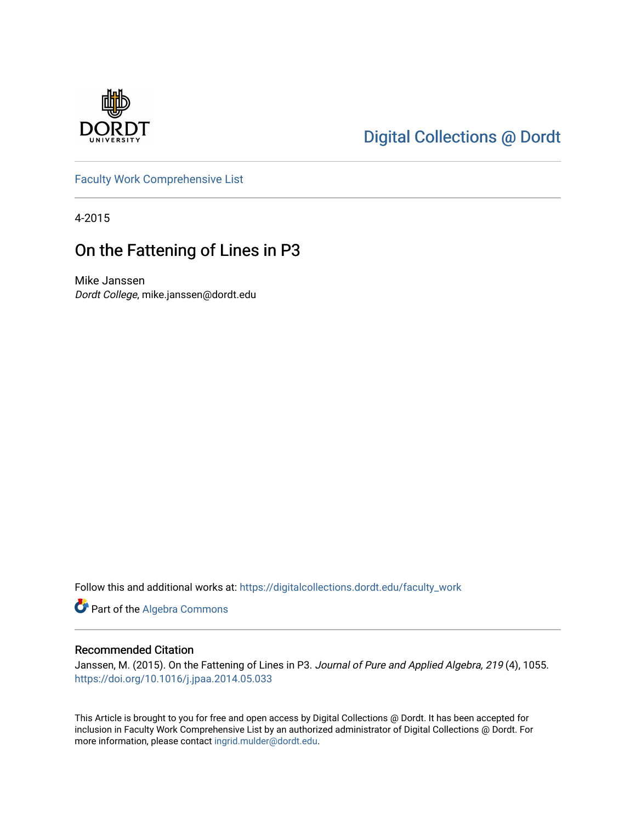

# [Digital Collections @ Dordt](https://digitalcollections.dordt.edu/)

[Faculty Work Comprehensive List](https://digitalcollections.dordt.edu/faculty_work)

4-2015

## On the Fattening of Lines in P3

Mike Janssen Dordt College, mike.janssen@dordt.edu

Follow this and additional works at: [https://digitalcollections.dordt.edu/faculty\\_work](https://digitalcollections.dordt.edu/faculty_work?utm_source=digitalcollections.dordt.edu%2Ffaculty_work%2F184&utm_medium=PDF&utm_campaign=PDFCoverPages) 

Part of the [Algebra Commons](http://network.bepress.com/hgg/discipline/175?utm_source=digitalcollections.dordt.edu%2Ffaculty_work%2F184&utm_medium=PDF&utm_campaign=PDFCoverPages) 

### Recommended Citation

Janssen, M. (2015). On the Fattening of Lines in P3. Journal of Pure and Applied Algebra, 219 (4), 1055. <https://doi.org/10.1016/j.jpaa.2014.05.033>

This Article is brought to you for free and open access by Digital Collections @ Dordt. It has been accepted for inclusion in Faculty Work Comprehensive List by an authorized administrator of Digital Collections @ Dordt. For more information, please contact [ingrid.mulder@dordt.edu.](mailto:ingrid.mulder@dordt.edu)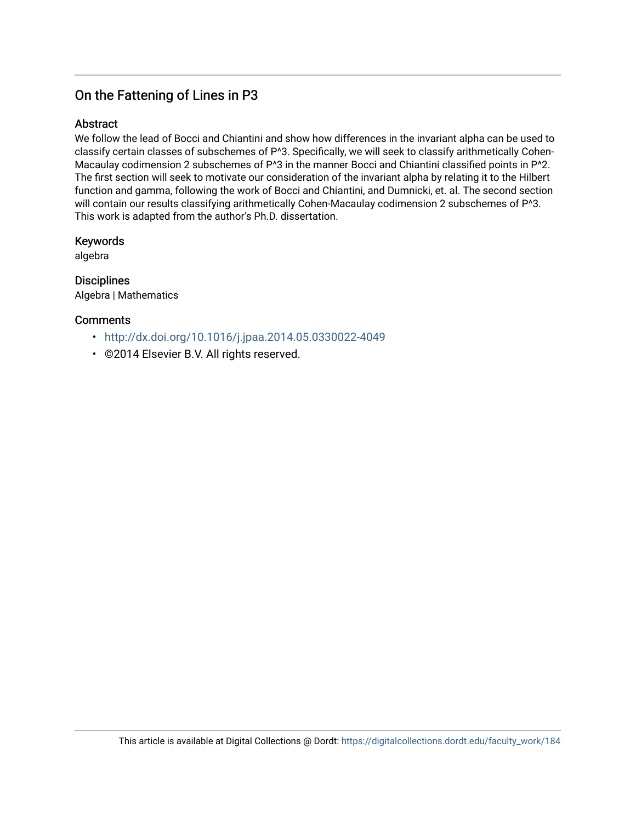## On the Fattening of Lines in P3

## Abstract

We follow the lead of Bocci and Chiantini and show how differences in the invariant alpha can be used to classify certain classes of subschemes of P^3. Specifically, we will seek to classify arithmetically Cohen-Macaulay codimension 2 subschemes of P^3 in the manner Bocci and Chiantini classified points in P^2. The first section will seek to motivate our consideration of the invariant alpha by relating it to the Hilbert function and gamma, following the work of Bocci and Chiantini, and Dumnicki, et. al. The second section will contain our results classifying arithmetically Cohen-Macaulay codimension 2 subschemes of P^3. This work is adapted from the author's Ph.D. dissertation.

### Keywords

algebra

**Disciplines** Algebra | Mathematics

## **Comments**

- <http://dx.doi.org/10.1016/j.jpaa.2014.05.0330022-4049>
- ©2014 Elsevier B.V. All rights reserved.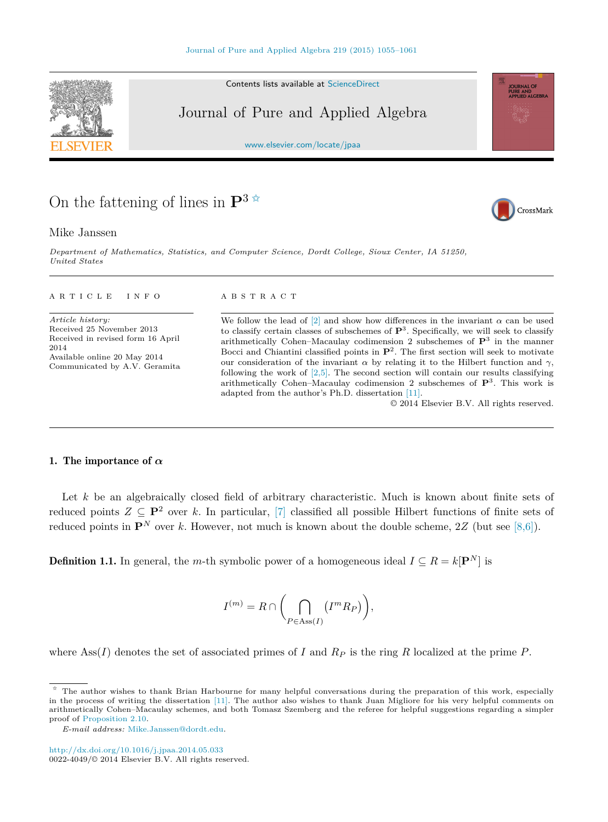Contents lists available at [ScienceDirect](http://www.ScienceDirect.com/)

## Journal of Pure and Applied Algebra

[www.elsevier.com/locate/jpaa](http://www.elsevier.com/locate/jpaa)

## On the fattening of lines in  $\mathbf{P}^3$   $\stackrel{\star}{\scriptscriptstyle\sim}$

### Mike Janssen

*Department of Mathematics, Statistics, and Computer Science, Dordt Col lege, Sioux Center, IA 51250, United States*

#### article info abstract

*Article history:* Received 25 November 2013 Received in revised form 16 April 2014 Available online 20 May 2014 Communicated by A.V. Geramita

We follow the lead of  $[2]$  and show how differences in the invariant  $\alpha$  can be used to classify certain classes of subschemes of  $\mathbf{P}^3$ . Specifically, we will seek to classify arithmetically Cohen–Macaulay codimension 2 subschemes of **P**<sup>3</sup> in the manner Bocci and Chiantini classified points in **P**2. The first section will seek to motivate our consideration of the invariant  $\alpha$  by relating it to the Hilbert function and  $\gamma$ , following the work of  $[2,5]$ . The second section will contain our results classifying arithmetically Cohen–Macaulay codimension 2 subschemes of **P**3. This work is adapted from the author's Ph.D. dissertation [\[11\].](#page-8-0)

© 2014 Elsevier B.V. All rights reserved.

### 1. The importance of *α*

Let *k* be an algebraically closed field of arbitrary characteristic. Much is known about finite sets of reduced points  $Z \subseteq \mathbf{P}^2$  over k. In particular, [\[7\]](#page-8-0) classified all possible Hilbert functions of finite sets of reduced points in  $\mathbf{P}^N$  over *k*. However, not much is known about the double scheme, 2*Z* (but see [\[8,6\]\)](#page-8-0).

**Definition 1.1.** In general, the *m*-th symbolic power of a homogeneous ideal  $I \subseteq R = k[\mathbf{P}^N]$  is

$$
I^{(m)} = R \cap \left( \bigcap_{P \in \text{Ass}(I)} \left( I^{m} R_{P} \right) \right),
$$

where Ass( $I$ ) denotes the set of associated primes of  $I$  and  $R_P$  is the ring  $R$  localized at the prime  $P$ .







<sup>✩</sup> The author wishes to thank Brian Harbourne for many helpful conversations during the preparation of this work, especially in the process of writing the dissertation [\[11\].](#page-8-0) The author also wishes to thank Juan Migliore for his very helpful comments on arithmetically Cohen–Macaulay schemes, and both Tomasz Szemberg and the referee for helpful suggestions regarding a simpler proof of [Proposition 2.10.](#page-6-0)

*E-mail address:* [Mike.Janssen@dordt.edu.](mailto:Mike.Janssen@dordt.edu)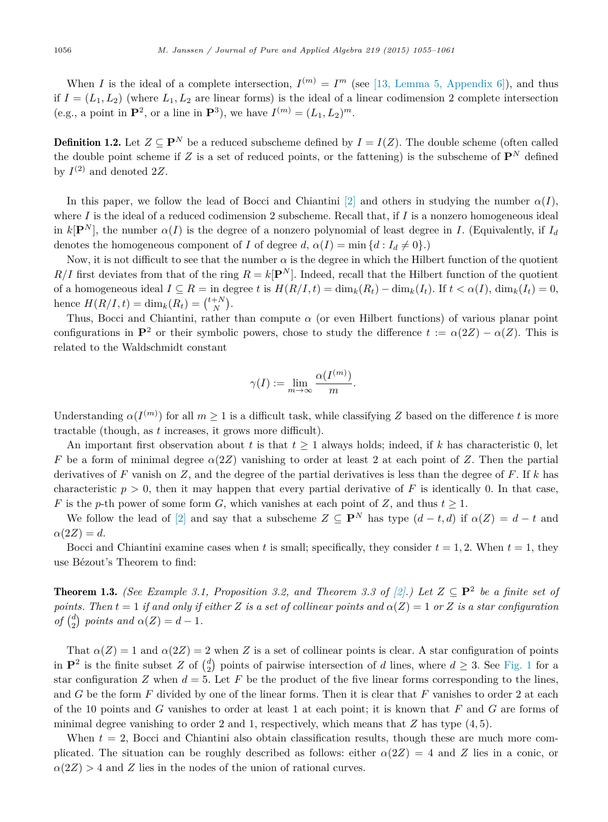When *I* is the ideal of a complete intersection,  $I^{(m)} = I^m$  (see [\[13, Lemma 5, Appendix 6\]\)](#page-8-0), and thus if  $I = (L_1, L_2)$  (where  $L_1, L_2$  are linear forms) is the ideal of a linear codimension 2 complete intersection (e.g., a point in  $\mathbf{P}^2$ , or a line in  $\mathbf{P}^3$ ), we have  $I^{(m)} = (L_1, L_2)^m$ .

**Definition 1.2.** Let  $Z \subseteq \mathbf{P}^N$  be a reduced subscheme defined by  $I = I(Z)$ . The double scheme (often called the double point scheme if *Z* is a set of reduced points, or the fattening) is the subscheme of  $\mathbf{P}^N$  defined by  $I^{(2)}$  and denoted 2Z.

In this paper, we follow the lead of Bocci and Chiantini [\[2\]](#page-8-0) and others in studying the number  $\alpha(I)$ , where *I* is the ideal of a reduced codimension 2 subscheme. Recall that, if *I* is a nonzero homogeneous ideal in  $k[\mathbf{P}^N]$ , the number  $\alpha(I)$  is the degree of a nonzero polynomial of least degree in *I*. (Equivalently, if  $I_d$ denotes the homogeneous component of *I* of degree *d*,  $\alpha(I) = \min \{d : I_d \neq 0\}$ .)

Now, it is not difficult to see that the number  $\alpha$  is the degree in which the Hilbert function of the quotient  $R/I$  first deviates from that of the ring  $R = k[\mathbf{P}^{N}]$ . Indeed, recall that the Hilbert function of the quotient of a homogeneous ideal  $I \subseteq R = \text{in degree } t$  is  $H(R/I, t) = \dim_k(R_t) - \dim_k(I_t)$ . If  $t < \alpha(I)$ ,  $\dim_k(I_t) = 0$ , hence  $H(R/I, t) = \dim_k(R_t) = {t + N \choose N}$ .

Thus, Bocci and Chiantini, rather than compute  $\alpha$  (or even Hilbert functions) of various planar point configurations in  $\mathbf{P}^2$  or their symbolic powers, chose to study the difference  $t := \alpha(2Z) - \alpha(Z)$ . This is related to the Waldschmidt constant

$$
\gamma(I):=\lim_{m\to\infty}\frac{\alpha(I^{(m)})}{m}.
$$

Understanding  $\alpha(I^{(m)})$  for all  $m \geq 1$  is a difficult task, while classifying *Z* based on the difference *t* is more tractable (though, as *t* increases, it grows more difficult).

An important first observation about *t* is that  $t \geq 1$  always holds; indeed, if *k* has characteristic 0, let *F* be a form of minimal degree  $\alpha(2Z)$  vanishing to order at least 2 at each point of *Z*. Then the partial derivatives of *F* vanish on *Z*, and the degree of the partial derivatives is less than the degree of *F*. If *k* has characteristic  $p > 0$ , then it may happen that every partial derivative of F is identically 0. In that case, *F* is the *p*-th power of some form *G*, which vanishes at each point of *Z*, and thus  $t \geq 1$ .

We follow the lead of [\[2\]](#page-8-0) and say that a subscheme  $Z \subseteq \mathbf{P}^N$  has type  $(d-t, d)$  if  $\alpha(Z) = d - t$  and  $\alpha(2Z) = d$ .

Bocci and Chiantini examine cases when *t* is small; specifically, they consider  $t = 1, 2$ . When  $t = 1$ , they use Bézout's Theorem to find:

**Theorem 1.3.** *(See Example 3.1, Proposition 3.2, and Theorem 3.3 of*  $[2]$ *.) Let*  $Z \subseteq \mathbf{P}^2$  *be a finite set of points. Then*  $t = 1$  *if and only if either Z is a set of collinear points and*  $\alpha(Z) = 1$  *or Z is a star configuration of*  $\binom{d}{2}$  *points and*  $\alpha(Z) = d - 1$ *.* 

That  $\alpha(Z) = 1$  and  $\alpha(ZZ) = 2$  when Z is a set of collinear points is clear. A star configuration of points in  $\mathbf{P}^2$  is the finite subset *Z* of  $\binom{d}{2}$  points of pairwise intersection of *d* lines, where  $d \geq 3$ . See [Fig. 1](#page-4-0) for a star configuration *Z* when  $d = 5$ . Let *F* be the product of the five linear forms corresponding to the lines, and *G* be the form *F* divided by one of the linear forms. Then it is clear that *F* vanishes to order 2 at each of the 10 points and *G* vanishes to order at least 1 at each point; it is known that *F* and *G* are forms of minimal degree vanishing to order 2 and 1, respectively, which means that *Z* has type (4*,* 5).

When  $t = 2$ , Bocci and Chiantini also obtain classification results, though these are much more complicated. The situation can be roughly described as follows: either  $\alpha(2Z) = 4$  and Z lies in a conic, or  $\alpha(2Z) > 4$  and *Z* lies in the nodes of the union of rational curves.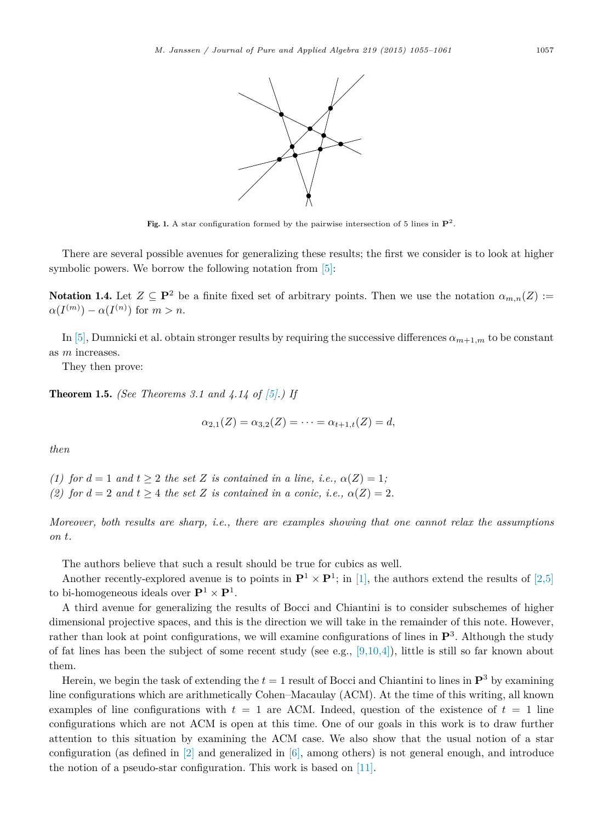<span id="page-4-0"></span>

Fig. 1. A star configuration formed by the pairwise intersection of 5 lines in  $\mathbf{P}^2$ .

There are several possible avenues for generalizing these results; the first we consider is to look at higher symbolic powers. We borrow the following notation from [\[5\]:](#page-8-0)

Notation 1.4. Let  $Z \subseteq \mathbf{P}^2$  be a finite fixed set of arbitrary points. Then we use the notation  $\alpha_{m,n}(Z)$  :=  $\alpha(I^{(m)}) - \alpha(I^{(n)})$  for  $m > n$ .

In [\[5\],](#page-8-0) Dumnicki et al. obtain stronger results by requiring the successive differences  $\alpha_{m+1,m}$  to be constant as *m* increases.

They then prove:

Theorem 1.5. *(See Theorems 3.1 and 4.14 of [\[5\].](#page-8-0)) If*

$$
\alpha_{2,1}(Z) = \alpha_{3,2}(Z) = \cdots = \alpha_{t+1,t}(Z) = d,
$$

*then*

*(1)* for  $d = 1$  *and*  $t > 2$  *the set Z is contained in a line, i.e.,*  $\alpha(Z) = 1$ ; *(2)* for  $d = 2$  *and*  $t > 4$  *the set Z is contained in a conic, i.e.,*  $\alpha(Z) = 2$ *.* 

*Moreover, both results are sharp, i.e., there are examples showing that one cannot relax the assumptions on t.*

The authors believe that such a result should be true for cubics as well.

Another recently-explored avenue is to points in  $\mathbf{P}^1 \times \mathbf{P}^1$ ; in [\[1\],](#page-8-0) the authors extend the results of [\[2,5\]](#page-8-0) to bi-homogeneous ideals over  $\mathbf{P}^1 \times \mathbf{P}^1$ .

A third avenue for generalizing the results of Bocci and Chiantini is to consider subschemes of higher dimensional projective spaces, and this is the direction we will take in the remainder of this note. However, rather than look at point configurations, we will examine configurations of lines in **P**<sup>3</sup>. Although the study of fat lines has been the subject of some recent study (see e.g., [\[9,10,4\]\)](#page-8-0), little is still so far known about them.

Herein, we begin the task of extending the  $t = 1$  result of Bocci and Chiantini to lines in  $\mathbf{P}^3$  by examining line configurations which are arithmetically Cohen–Macaulay (ACM). At the time of this writing, all known examples of line configurations with  $t = 1$  are ACM. Indeed, question of the existence of  $t = 1$  line configurations which are not ACM is open at this time. One of our goals in this work is to draw further attention to this situation by examining the ACM case. We also show that the usual notion of a star configuration (as defined in  $[2]$  and generalized in  $[6]$ , among others) is not general enough, and introduce the notion of a pseudo-star configuration. This work is based on [\[11\].](#page-8-0)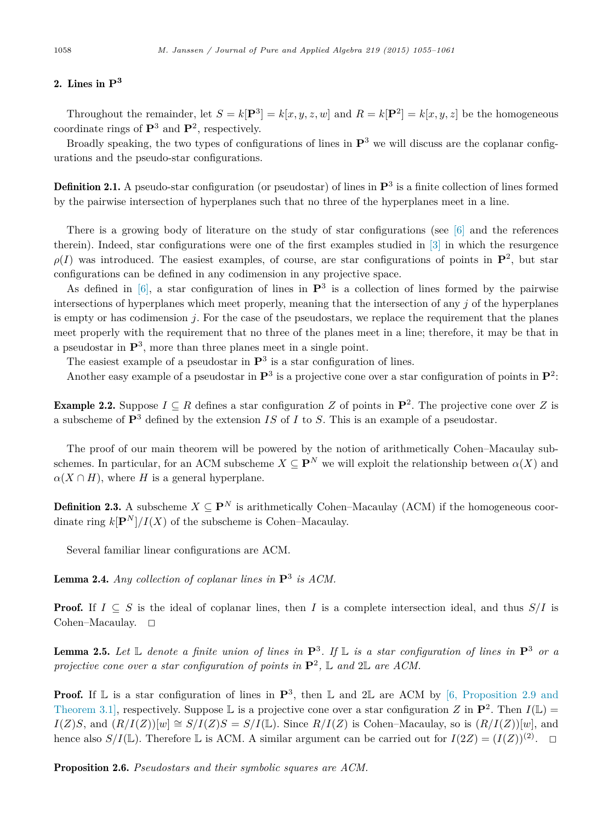### 2. Lines in **P<sup>3</sup>**

Throughout the remainder, let  $S = k[\mathbf{P}^3] = k[x, y, z, w]$  and  $R = k[\mathbf{P}^2] = k[x, y, z]$  be the homogeneous coordinate rings of **P**<sup>3</sup> and **P**<sup>2</sup>, respectively.

Broadly speaking, the two types of configurations of lines in **P**<sup>3</sup> we will discuss are the coplanar configurations and the pseudo-star configurations.

Definition 2.1. A pseudo-star configuration (or pseudostar) of lines in **P**<sup>3</sup> is a finite collection of lines formed by the pairwise intersection of hyperplanes such that no three of the hyperplanes meet in a line.

There is a growing body of literature on the study of star configurations (see  $\lceil 6 \rceil$  and the references therein). Indeed, star configurations were one of the first examples studied in [\[3\]](#page-8-0) in which the resurgence  $\rho(I)$  was introduced. The easiest examples, of course, are star configurations of points in  $\mathbf{P}^2$ , but star configurations can be defined in any codimension in any projective space.

As defined in  $[6]$ , a star configuration of lines in  $\mathbf{P}^3$  is a collection of lines formed by the pairwise intersections of hyperplanes which meet properly, meaning that the intersection of any *j* of the hyperplanes is empty or has codimension *j*. For the case of the pseudostars, we replace the requirement that the planes meet properly with the requirement that no three of the planes meet in a line; therefore, it may be that in a pseudostar in **P**<sup>3</sup>, more than three planes meet in a single point.

The easiest example of a pseudostar in  $\mathbf{P}^3$  is a star configuration of lines.

Another easy example of a pseudostar in  $\mathbf{P}^3$  is a projective cone over a star configuration of points in  $\mathbf{P}^2$ :

**Example 2.2.** Suppose  $I \subseteq R$  defines a star configuration Z of points in  $\mathbf{P}^2$ . The projective cone over Z is a subscheme of **P**<sup>3</sup> defined by the extension *IS* of *I* to *S*. This is an example of a pseudostar.

The proof of our main theorem will be powered by the notion of arithmetically Cohen–Macaulay subschemes. In particular, for an ACM subscheme  $X \subseteq \mathbf{P}^N$  we will exploit the relationship between  $\alpha(X)$  and  $\alpha(X \cap H)$ , where *H* is a general hyperplane.

**Definition 2.3.** A subscheme  $X \subseteq \mathbf{P}^N$  is arithmetically Cohen–Macaulay (ACM) if the homogeneous coordinate ring  $k[\mathbf{P}^{N}]/I(X)$  of the subscheme is Cohen–Macaulay.

Several familiar linear configurations are ACM.

Lemma 2.4. *Any collection of coplanar lines in* **P**<sup>3</sup> *is ACM.*

**Proof.** If  $I \subseteq S$  is the ideal of coplanar lines, then *I* is a complete intersection ideal, and thus  $S/I$  is Cohen–Macaulay.  $\square$ 

**Lemma 2.5.** Let  $\mathbb{L}$  denote a finite union of lines in  $\mathbb{P}^3$ . If  $\mathbb{L}$  is a star configuration of lines in  $\mathbb{P}^3$  or a *projective cone over a star configuration of points in*  $\mathbf{P}^2$ , L and 2L are ACM.

**Proof.** If  $\mathbb{L}$  is a star configuration of lines in  $\mathbb{P}^3$ , then  $\mathbb{L}$  and  $2\mathbb{L}$  are ACM by [\[6, Proposition 2.9 and](#page-8-0) [Theorem 3.1\],](#page-8-0) respectively. Suppose L is a projective cone over a star configuration *Z* in  $\mathbf{P}^2$ . Then  $I(\mathbb{L})$  = *I*(*Z*)*S*, and  $(R/I(Z))[w] ≅ S/I(Z)S = S/I(ℤ)$ . Since  $R/I(Z)$  is Cohen–Macaulay, so is  $(R/I(Z))[w]$ , and hence also  $S/I(\mathbb{L})$ . Therefore  $\mathbb{L}$  is ACM. A similar argument can be carried out for  $I(2Z)=(I(Z))^{(2)}$ .  $\Box$ 

Proposition 2.6. *Pseudostars and their symbolic squares are ACM.*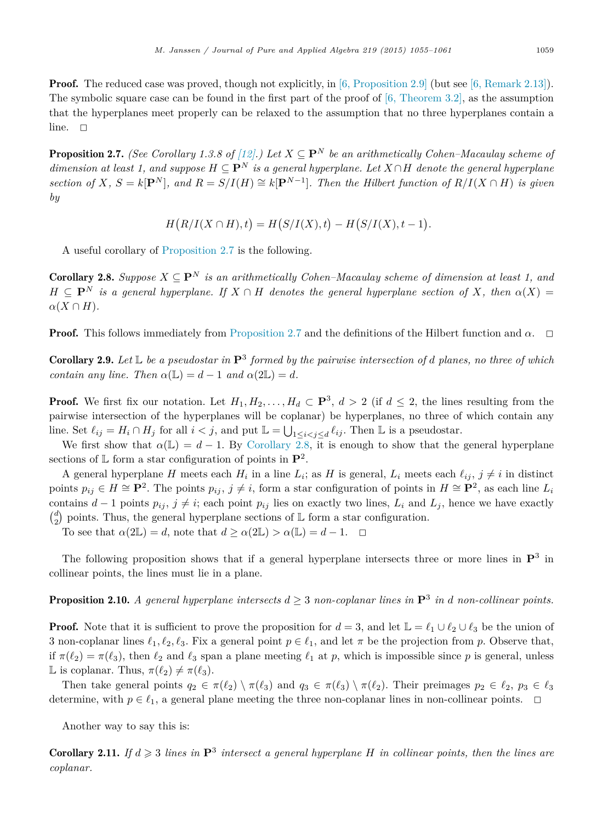<span id="page-6-0"></span>**Proof.** The reduced case was proved, though not explicitly, in [\[6, Proposition 2.9\]](#page-8-0) (but see [\[6, Remark 2.13\]\)](#page-8-0). The symbolic square case can be found in the first part of the proof of  $[6,$  Theorem 3.2], as the assumption that the hyperplanes meet properly can be relaxed to the assumption that no three hyperplanes contain a line.  $\square$ 

**Proposition 2.7.** *(See Corollary 1.3.8 of [\[12\].](#page-8-0)*) Let  $X \subseteq \mathbf{P}^N$  be an arithmetically Cohen–Macaulay scheme of *dimension at least 1, and suppose*  $H \subseteq \mathbf{P}^N$  *is a general hyperplane. Let*  $X \cap H$  *denote the general hyperplane* section of X,  $S = k[\mathbf{P}^{N}]$ , and  $R = S/I(H) \cong k[\mathbf{P}^{N-1}]$ . Then the Hilbert function of  $R/I(X \cap H)$  is given *by*

$$
H(R/I(X \cap H), t) = H(S/I(X), t) - H(S/I(X), t - 1).
$$

A useful corollary of Proposition 2.7 is the following.

**Corollary 2.8.** *Suppose*  $X \subseteq \mathbf{P}^N$  *is an arithmetically Cohen–Macaulay scheme of dimension at least 1, and*  $H \subseteq \mathbf{P}^N$  *is a general hyperplane. If*  $X \cap H$  *denotes the general hyperplane section of*  $X$ *, then*  $\alpha(X) =$  $\alpha(X \cap H)$ *.* 

**Proof.** This follows immediately from Proposition 2.7 and the definitions of the Hilbert function and  $\alpha$ .  $\Box$ 

Corollary 2.9. *Let* L *be a pseudostar in* **P**<sup>3</sup> *formed by the pairwise intersection of d planes, no three of which contain any line. Then*  $\alpha(\mathbb{L}) = d - 1$  *and*  $\alpha(2\mathbb{L}) = d$ *.* 

**Proof.** We first fix our notation. Let  $H_1, H_2, \ldots, H_d \subset \mathbf{P}^3$ ,  $d > 2$  (if  $d \leq 2$ , the lines resulting from the pairwise intersection of the hyperplanes will be coplanar) be hyperplanes, no three of which contain any line. Set  $\ell_{ij} = H_i \cap H_j$  for all  $i < j$ , and put  $\mathbb{L} = \bigcup_{1 \leq i < j \leq d} \ell_{ij}$ . Then  $\mathbb{L}$  is a pseudostar.

We first show that  $\alpha(\mathbb{L}) = d - 1$ . By Corollary 2.8, it is enough to show that the general hyperplane sections of  $\mathbb{L}$  form a star configuration of points in  $\mathbb{P}^2$ .

A general hyperplane *H* meets each  $H_i$  in a line  $L_i$ ; as *H* is general,  $L_i$  meets each  $\ell_{ii}$ ,  $j \neq i$  in distinct points  $p_{ij} \in H \cong \mathbf{P}^2$ . The points  $p_{ij}$ ,  $j \neq i$ , form a star configuration of points in  $H \cong \mathbf{P}^2$ , as each line  $L_i$ contains  $d-1$  points  $p_{ij}$ ,  $j \neq i$ ; each point  $p_{ij}$  lies on exactly two lines,  $L_i$  and  $L_j$ , hence we have exactly  $\binom{d}{2}$  points. Thus, the general hyperplane sections of  $\mathbb L$  form a star configuration.

To see that  $\alpha(2\mathbb{L}) = d$ , note that  $d \geq \alpha(2\mathbb{L}) > \alpha(\mathbb{L}) = d - 1$ .  $\Box$ 

The following proposition shows that if a general hyperplane intersects three or more lines in **P**<sup>3</sup> in collinear points, the lines must lie in a plane.

**Proposition 2.10.** A general hyperplane intersects  $d > 3$  non-coplanar lines in  $\mathbf{P}^3$  in *d* non-collinear points.

**Proof.** Note that it is sufficient to prove the proposition for  $d = 3$ , and let  $\mathbb{L} = \ell_1 \cup \ell_2 \cup \ell_3$  be the union of 3 non-coplanar lines  $\ell_1, \ell_2, \ell_3$ . Fix a general point  $p \in \ell_1$ , and let  $\pi$  be the projection from  $p$ . Observe that, if  $\pi(\ell_2) = \pi(\ell_3)$ , then  $\ell_2$  and  $\ell_3$  span a plane meeting  $\ell_1$  at p, which is impossible since p is general, unless L is coplanar. Thus,  $\pi(\ell_2) \neq \pi(\ell_3)$ .

Then take general points  $q_2 \in \pi(\ell_2) \setminus \pi(\ell_3)$  and  $q_3 \in \pi(\ell_3) \setminus \pi(\ell_2)$ . Their preimages  $p_2 \in \ell_2$ ,  $p_3 \in \ell_3$ determine, with  $p \in \ell_1$ , a general plane meeting the three non-coplanar lines in non-collinear points.  $\Box$ 

Another way to say this is:

**Corollary 2.11.** If  $d \geq 3$  lines in  $\mathbf{P}^3$  intersect a general hyperplane H in collinear points, then the lines are *coplanar.*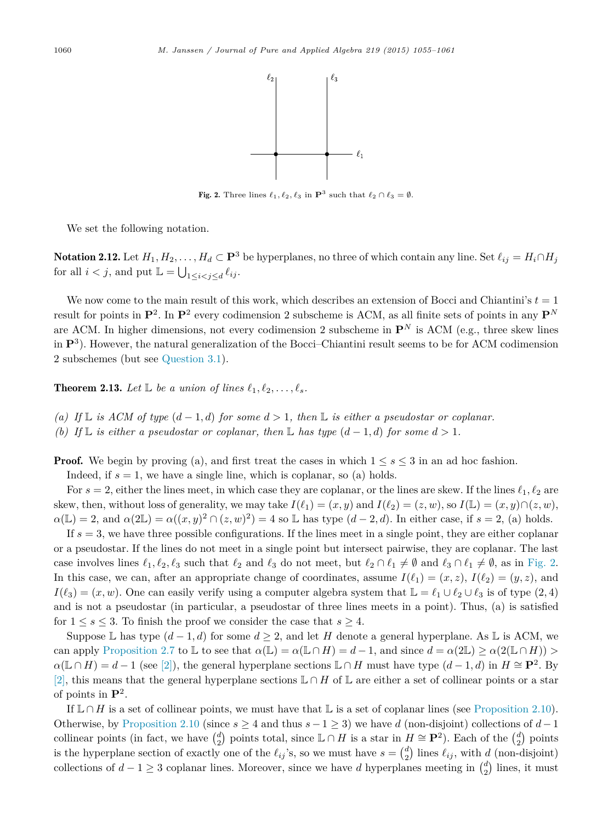

Fig. 2. Three lines  $\ell_1, \ell_2, \ell_3$  in  $\mathbf{P}^3$  such that  $\ell_2 \cap \ell_3 = \emptyset$ .

<span id="page-7-0"></span>We set the following notation.

Notation 2.12. Let  $H_1, H_2, \ldots, H_d \subset \mathbf{P}^3$  be hyperplanes, no three of which contain any line. Set  $\ell_{ij} = H_i \cap H_j$ for all  $i < j$ , and put  $\mathbb{L} = \bigcup_{1 \leq i < j \leq d} \ell_{ij}$ .

We now come to the main result of this work, which describes an extension of Bocci and Chiantini's  $t = 1$ result for points in  $\mathbf{P}^2$ . In  $\mathbf{P}^2$  every codimension 2 subscheme is ACM, as all finite sets of points in any  $\mathbf{P}^N$ are ACM. In higher dimensions, not every codimension 2 subscheme in  $\mathbf{P}^N$  is ACM (e.g., three skew lines in **P**<sup>3</sup>). However, the natural generalization of the Bocci–Chiantini result seems to be for ACM codimension 2 subschemes (but see [Question 3.1\)](#page-8-0).

**Theorem 2.13.** Let  $\mathbb{L}$  be a union of lines  $\ell_1, \ell_2, \ldots, \ell_s$ .

- *(a)* If  $\mathbb{L}$  *is ACM of type*  $(d-1,d)$  *for some*  $d > 1$ *, then*  $\mathbb{L}$  *is either a pseudostar or coplanar.*
- *(b)* If L is either a pseudostar or coplanar, then L has type  $(d-1, d)$  for some  $d > 1$ .

**Proof.** We begin by proving (a), and first treat the cases in which  $1 \leq s \leq 3$  in an ad hoc fashion.

Indeed, if  $s = 1$ , we have a single line, which is coplanar, so (a) holds.

For  $s = 2$ , either the lines meet, in which case they are coplanar, or the lines are skew. If the lines  $\ell_1, \ell_2$  are skew, then, without loss of generality, we may take  $I(\ell_1)=(x, y)$  and  $I(\ell_2)=(z, w)$ , so  $I(\mathbb{L})=(x, y)\cap(z, w)$ ,  $\alpha(\mathbb{L}) = 2$ , and  $\alpha(2\mathbb{L}) = \alpha((x, y)^2 \cap (z, w)^2) = 4$  so  $\mathbb{L}$  has type  $(d - 2, d)$ . In either case, if  $s = 2$ , (a) holds.

If  $s = 3$ , we have three possible configurations. If the lines meet in a single point, they are either coplanar or a pseudostar. If the lines do not meet in a single point but intersect pairwise, they are coplanar. The last case involves lines  $\ell_1, \ell_2, \ell_3$  such that  $\ell_2$  and  $\ell_3$  do not meet, but  $\ell_2 \cap \ell_1 \neq \emptyset$  and  $\ell_3 \cap \ell_1 \neq \emptyset$ , as in Fig. 2. In this case, we can, after an appropriate change of coordinates, assume  $I(\ell_1)=(x, z)$ ,  $I(\ell_2)=(y, z)$ , and  $I(\ell_3)=(x,w)$ . One can easily verify using a computer algebra system that  $\mathbb{L}=\ell_1\cup\ell_2\cup\ell_3$  is of type (2, 4) and is not a pseudostar (in particular, a pseudostar of three lines meets in a point). Thus, (a) is satisfied for  $1 \leq s \leq 3$ . To finish the proof we consider the case that  $s \geq 4$ .

Suppose L has type  $(d-1, d)$  for some  $d \geq 2$ , and let *H* denote a general hyperplane. As L is ACM, we can apply [Proposition 2.7](#page-6-0) to L to see that  $\alpha(\mathbb{L}) = \alpha(\mathbb{L} \cap H) = d - 1$ , and since  $d = \alpha(2\mathbb{L}) \geq \alpha(2(\mathbb{L} \cap H)) >$  $\alpha(\mathbb{L} \cap H) = d - 1$  (see [\[2\]\)](#page-8-0), the general hyperplane sections  $\mathbb{L} \cap H$  must have type  $(d - 1, d)$  in  $H \cong \mathbf{P}^2$ . By [\[2\],](#page-8-0) this means that the general hyperplane sections <sup>L</sup> <sup>∩</sup> *<sup>H</sup>* of <sup>L</sup> are either a set of collinear points or a star of points in **P**<sup>2</sup>.

If  $\mathbb{L} \cap H$  is a set of collinear points, we must have that  $\mathbb{L}$  is a set of coplanar lines (see [Proposition 2.10\)](#page-6-0). Otherwise, by [Proposition 2.10](#page-6-0) (since  $s \geq 4$  and thus  $s-1 \geq 3$ ) we have *d* (non-disjoint) collections of  $d-1$ collinear points (in fact, we have  $\binom{d}{2}$  points total, since  $\mathbb{L} \cap H$  is a star in  $H \cong \mathbf{P}^2$ ). Each of the  $\binom{d}{2}$  points is the hyperplane section of exactly one of the  $\ell_{ij}$ 's, so we must have  $s = \binom{d}{2}$  lines  $\ell_{ij}$ , with *d* (non-disjoint) collections of  $d-1 \geq 3$  coplanar lines. Moreover, since we have *d* hyperplanes meeting in  $\binom{d}{2}$  lines, it must